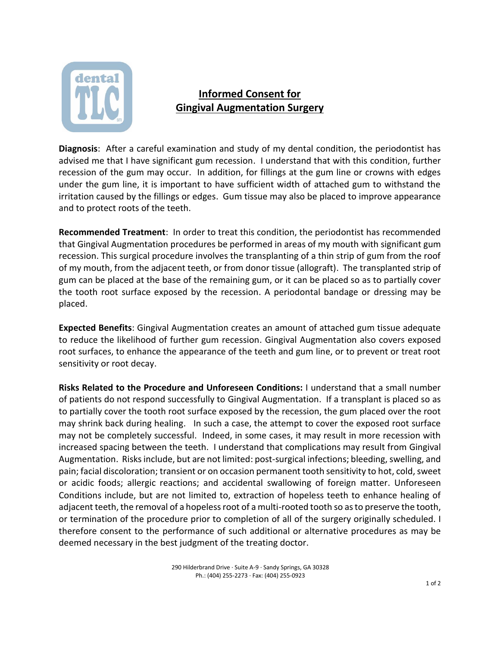

## **Informed Consent for Gingival Augmentation Surgery**

**Diagnosis**: After a careful examination and study of my dental condition, the periodontist has advised me that I have significant gum recession. I understand that with this condition, further recession of the gum may occur. In addition, for fillings at the gum line or crowns with edges under the gum line, it is important to have sufficient width of attached gum to withstand the irritation caused by the fillings or edges. Gum tissue may also be placed to improve appearance and to protect roots of the teeth.

**Recommended Treatment**: In order to treat this condition, the periodontist has recommended that Gingival Augmentation procedures be performed in areas of my mouth with significant gum recession. This surgical procedure involves the transplanting of a thin strip of gum from the roof of my mouth, from the adjacent teeth, or from donor tissue (allograft). The transplanted strip of gum can be placed at the base of the remaining gum, or it can be placed so as to partially cover the tooth root surface exposed by the recession. A periodontal bandage or dressing may be placed.

**Expected Benefits**: Gingival Augmentation creates an amount of attached gum tissue adequate to reduce the likelihood of further gum recession. Gingival Augmentation also covers exposed root surfaces, to enhance the appearance of the teeth and gum line, or to prevent or treat root sensitivity or root decay.

**Risks Related to the Procedure and Unforeseen Conditions:** I understand that a small number of patients do not respond successfully to Gingival Augmentation. If a transplant is placed so as to partially cover the tooth root surface exposed by the recession, the gum placed over the root may shrink back during healing. In such a case, the attempt to cover the exposed root surface may not be completely successful. Indeed, in some cases, it may result in more recession with increased spacing between the teeth. I understand that complications may result from Gingival Augmentation. Risksinclude, but are not limited: post-surgical infections; bleeding, swelling, and pain; facial discoloration; transient or on occasion permanent tooth sensitivity to hot, cold, sweet or acidic foods; allergic reactions; and accidental swallowing of foreign matter. Unforeseen Conditions include, but are not limited to, extraction of hopeless teeth to enhance healing of adjacent teeth, the removal of a hopeless root of a multi-rooted tooth so as to preserve the tooth, or termination of the procedure prior to completion of all of the surgery originally scheduled. I therefore consent to the performance of such additional or alternative procedures as may be deemed necessary in the best judgment of the treating doctor.